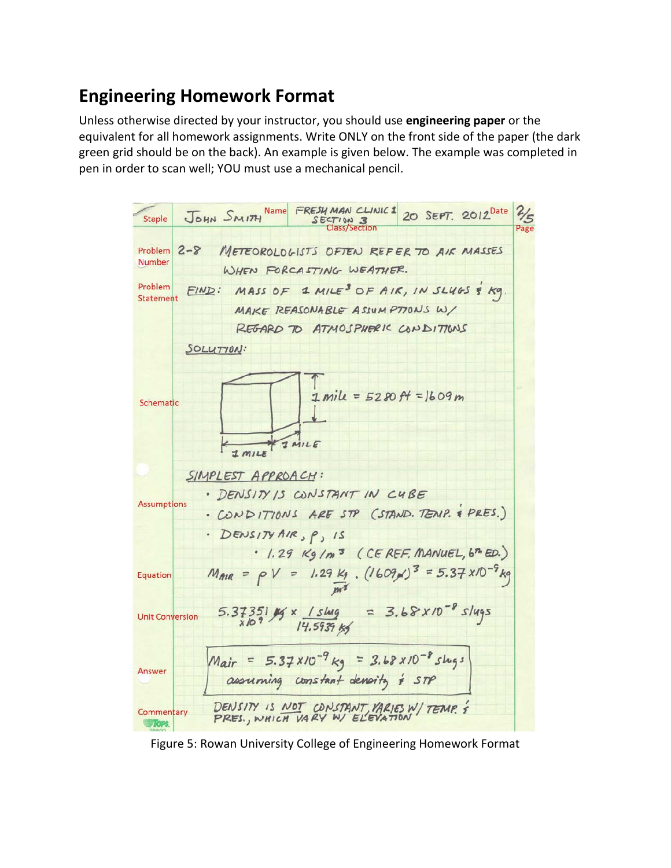## **Engineering Homework Format**

Unless otherwise directed by your instructor, you should use **engineering paper** or the equivalent for all homework assignments. Write ONLY on the front side of the paper (the dark green grid should be on the back). An example is given below. The example was completed in pen in order to scan well; YOU must use a mechanical pencil.



Figure 5: Rowan University College of Engineering Homework Format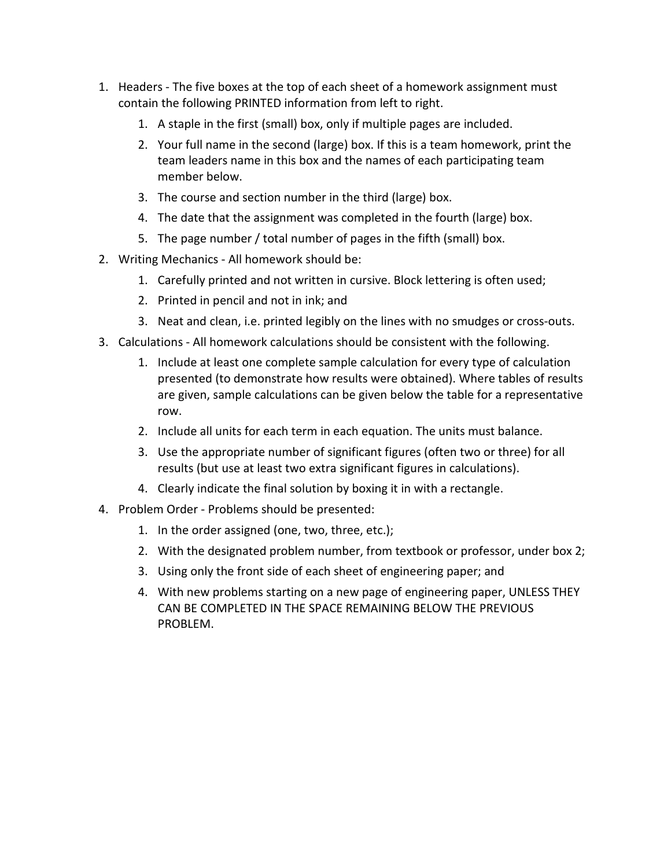- 1. Headers The five boxes at the top of each sheet of a homework assignment must contain the following PRINTED information from left to right.
	- 1. A staple in the first (small) box, only if multiple pages are included.
	- 2. Your full name in the second (large) box. If this is a team homework, print the team leaders name in this box and the names of each participating team member below.
	- 3. The course and section number in the third (large) box.
	- 4. The date that the assignment was completed in the fourth (large) box.
	- 5. The page number / total number of pages in the fifth (small) box.
- 2. Writing Mechanics All homework should be:
	- 1. Carefully printed and not written in cursive. Block lettering is often used;
	- 2. Printed in pencil and not in ink; and
	- 3. Neat and clean, i.e. printed legibly on the lines with no smudges or cross-outs.
- 3. Calculations All homework calculations should be consistent with the following.
	- 1. Include at least one complete sample calculation for every type of calculation presented (to demonstrate how results were obtained). Where tables of results are given, sample calculations can be given below the table for a representative row.
	- 2. Include all units for each term in each equation. The units must balance.
	- 3. Use the appropriate number of significant figures (often two or three) for all results (but use at least two extra significant figures in calculations).
	- 4. Clearly indicate the final solution by boxing it in with a rectangle.
- 4. Problem Order Problems should be presented:
	- 1. In the order assigned (one, two, three, etc.);
	- 2. With the designated problem number, from textbook or professor, under box 2;
	- 3. Using only the front side of each sheet of engineering paper; and
	- 4. With new problems starting on a new page of engineering paper, UNLESS THEY CAN BE COMPLETED IN THE SPACE REMAINING BELOW THE PREVIOUS PROBLEM.